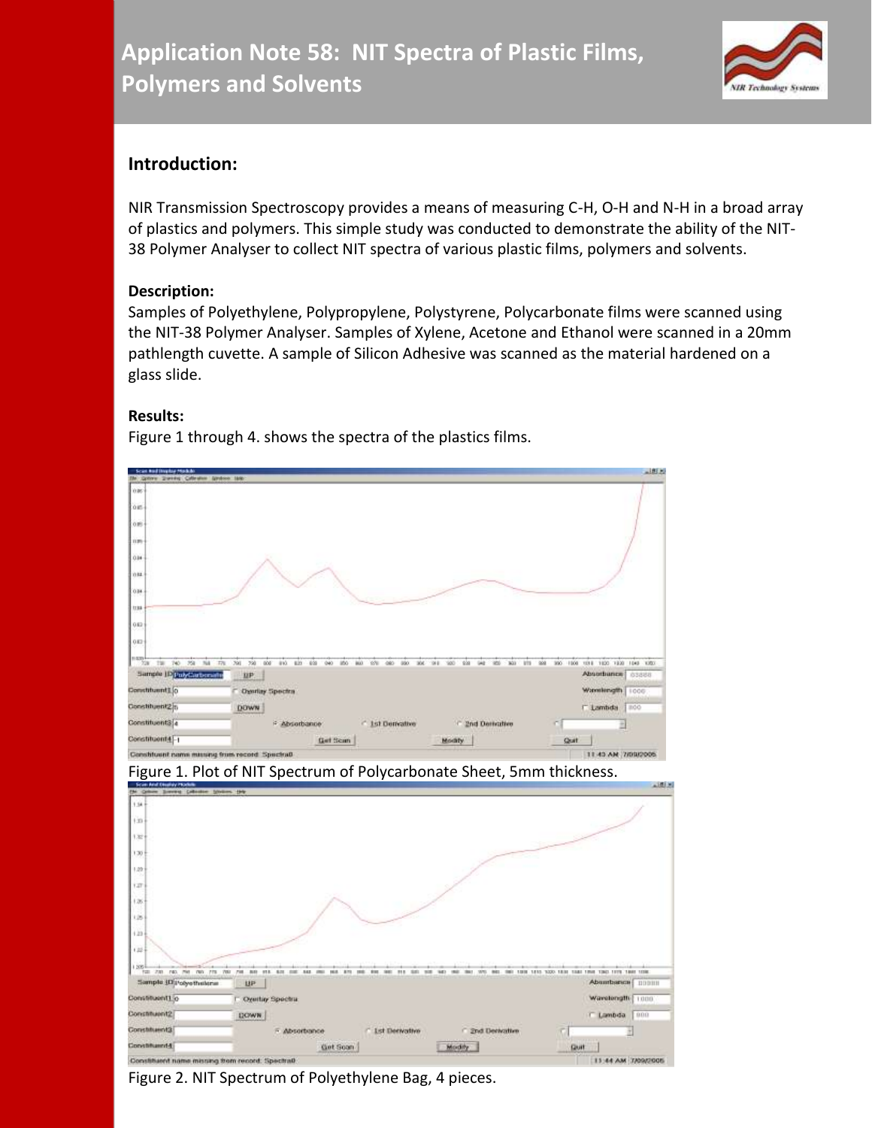

## **Introduction:**

NIR Transmission Spectroscopy provides a means of measuring C-H, O-H and N-H in a broad array of plastics and polymers. This simple study was conducted to demonstrate the ability of the NIT-38 Polymer Analyser to collect NIT spectra of various plastic films, polymers and solvents.

## **Description:**

Samples of Polyethylene, Polypropylene, Polystyrene, Polycarbonate films were scanned using the NIT-38 Polymer Analyser. Samples of Xylene, Acetone and Ethanol were scanned in a 20mm pathlength cuvette. A sample of Silicon Adhesive was scanned as the material hardened on a glass slide.

## **Results:**

Figure 1 through 4. shows the spectra of the plastics films.



Figure 2. NIT Spectrum of Polyethylene Bag, 4 pieces.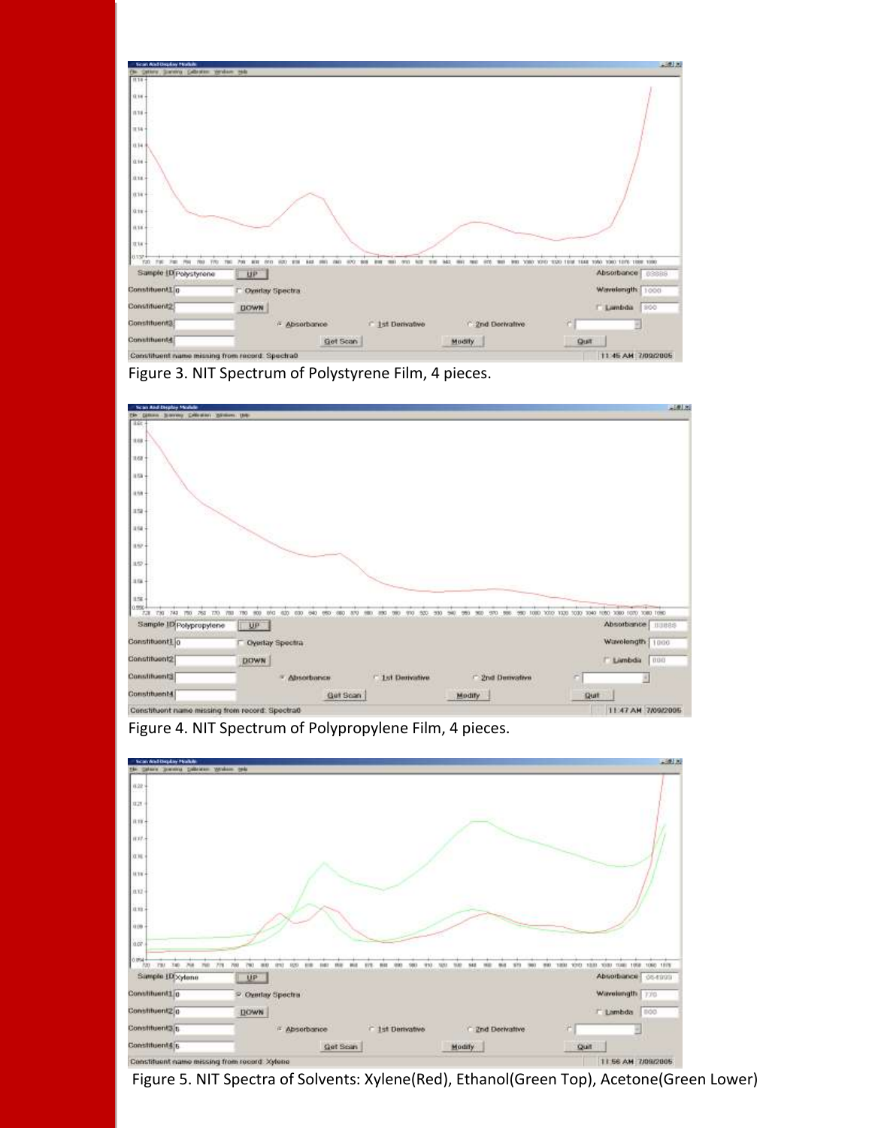

Figure 3. NIT Spectrum of Polystyrene Film, 4 pieces.



Figure 4. NIT Spectrum of Polypropylene Film, 4 pieces.



Figure 5. NIT Spectra of Solvents: Xylene(Red), Ethanol(Green Top), Acetone(Green Lower)